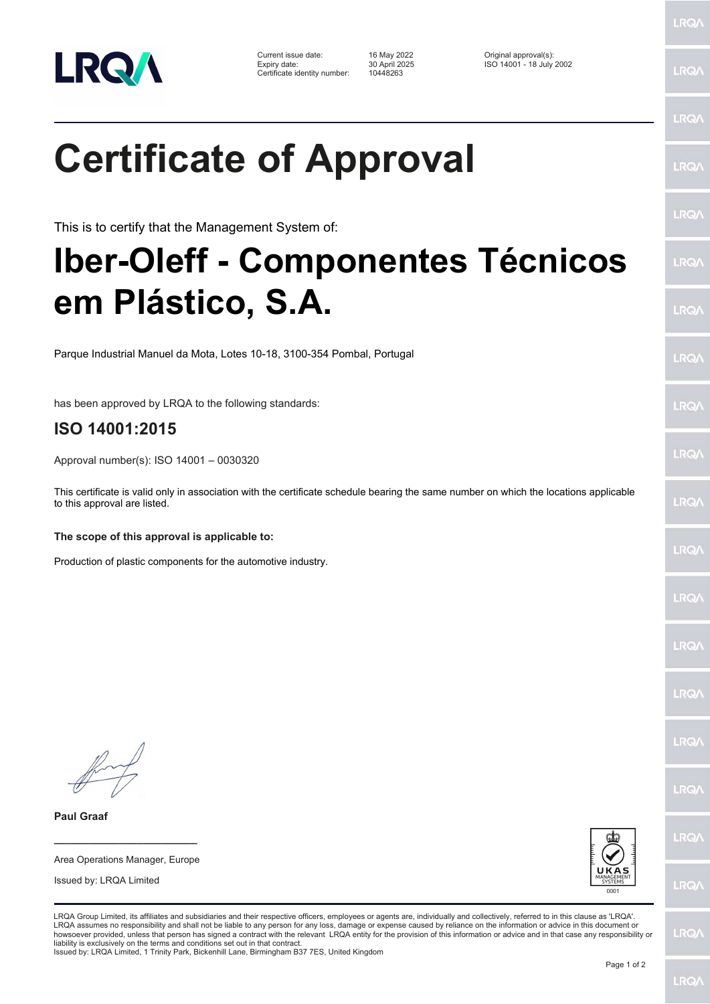

Current issue date: 16 May 2022 Original approval(s): Expiry date: 30 April 2025 ISO 14001 - 18 July 2002 Certificate identity number: 10448263

**Certificate of Approval**

This is to certify that the Management System of:

### **Iber-Oleff - Componentes Técnicos em Plástico, S.A.**

Parque Industrial Manuel da Mota, Lotes 10-18, 3100-354 Pombal, Portugal

has been approved by LRQA to the following standards:

#### **ISO 14001:2015**

Approval number(s): ISO 14001 – 0030320

This certificate is valid only in association with the certificate schedule bearing the same number on which the locations applicable to this approval are listed.

**The scope of this approval is applicable to:**

Production of plastic components for the automotive industry.

Issued by: LRQA Limited

**\_\_\_\_\_\_\_\_\_\_\_\_\_\_\_\_\_\_\_\_\_\_\_\_** Area Operations Manager, Europe

**Paul Graaf**



LRQA Group Limited, its affiliates and subsidiaries and their respective officers, employees or agents are, individually and collectively, referred to in this clause as 'LRQA'. LRQA assumes no responsibility and shall not be liable to any person for any loss, damage or expense caused by reliance on the information or advice in this document or<br>howsoever provided, unless that person has signed a c liability is exclusively on the terms and conditions set out in that contract. Issued by: LRQA Limited, 1 Trinity Park, Bickenhill Lane, Birmingham B37 7ES, United Kingdom

LRQ/

LRQ/

LRQ/

LRQ/

LRQ/

LRQ/

LRQ/

LRQ/

LRQ/

LRQ/

LRQ/

LRQ/

LRQ/

**LRQA** 

 $RQ$ 

**LROA** 

LRQ/

LRQ/

LRQ/

LRQ/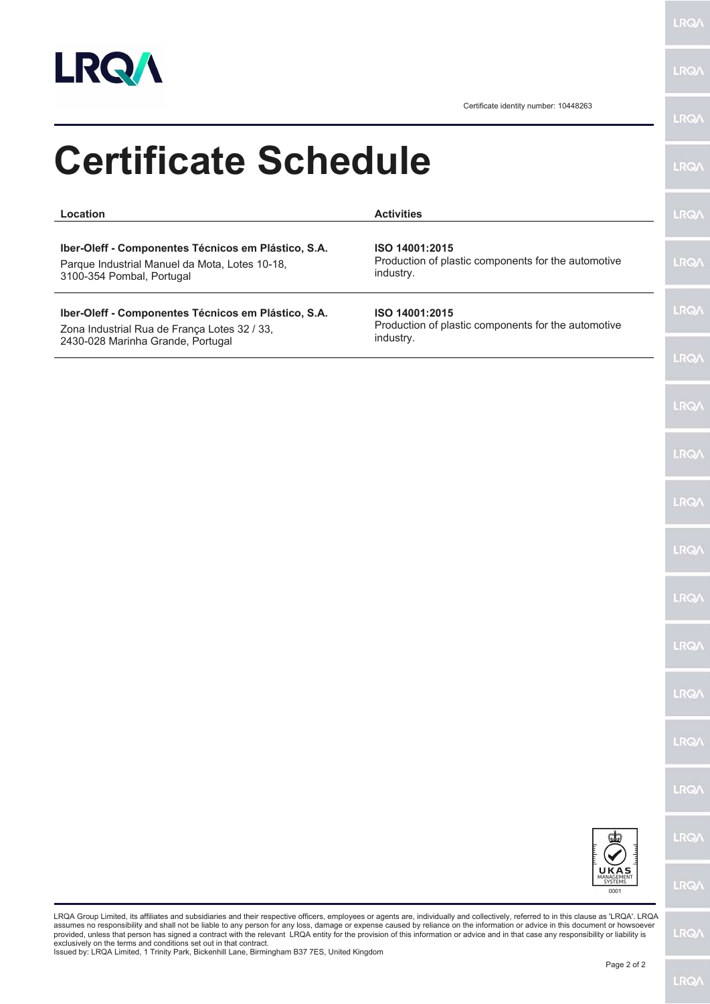

**LRQA** 

Certificate identity number: 10448263

| <b>Certificate Schedule</b>                                                                                                              |                                                                                                                                                                                                                                                                                                                                                                                                                                                                                                                                                                | <b>LRQ/\</b> |
|------------------------------------------------------------------------------------------------------------------------------------------|----------------------------------------------------------------------------------------------------------------------------------------------------------------------------------------------------------------------------------------------------------------------------------------------------------------------------------------------------------------------------------------------------------------------------------------------------------------------------------------------------------------------------------------------------------------|--------------|
| Location                                                                                                                                 | <b>Activities</b>                                                                                                                                                                                                                                                                                                                                                                                                                                                                                                                                              | <b>LRQA</b>  |
| Iber-Oleff - Componentes Técnicos em Plástico, S.A.<br>Parque Industrial Manuel da Mota, Lotes 10-18,<br>3100-354 Pombal, Portugal       | ISO 14001:2015<br>Production of plastic components for the automotive<br>industry.                                                                                                                                                                                                                                                                                                                                                                                                                                                                             | <b>LRQA</b>  |
| Iber-Oleff - Componentes Técnicos em Plástico, S.A.<br>Zona Industrial Rua de França Lotes 32 / 33,<br>2430-028 Marinha Grande, Portugal | ISO 14001:2015<br>Production of plastic components for the automotive<br>industry.                                                                                                                                                                                                                                                                                                                                                                                                                                                                             | <b>LRQA</b>  |
|                                                                                                                                          |                                                                                                                                                                                                                                                                                                                                                                                                                                                                                                                                                                | <b>LRQ/\</b> |
|                                                                                                                                          |                                                                                                                                                                                                                                                                                                                                                                                                                                                                                                                                                                | <b>LRQA</b>  |
|                                                                                                                                          |                                                                                                                                                                                                                                                                                                                                                                                                                                                                                                                                                                | <b>LRQA</b>  |
|                                                                                                                                          |                                                                                                                                                                                                                                                                                                                                                                                                                                                                                                                                                                | <b>LRQA</b>  |
|                                                                                                                                          |                                                                                                                                                                                                                                                                                                                                                                                                                                                                                                                                                                | <b>LRQA</b>  |
|                                                                                                                                          |                                                                                                                                                                                                                                                                                                                                                                                                                                                                                                                                                                | <b>LRQA</b>  |
|                                                                                                                                          |                                                                                                                                                                                                                                                                                                                                                                                                                                                                                                                                                                | <b>LRQA</b>  |
|                                                                                                                                          |                                                                                                                                                                                                                                                                                                                                                                                                                                                                                                                                                                | <b>LRQA</b>  |
|                                                                                                                                          |                                                                                                                                                                                                                                                                                                                                                                                                                                                                                                                                                                | <b>LRQA</b>  |
|                                                                                                                                          |                                                                                                                                                                                                                                                                                                                                                                                                                                                                                                                                                                | <b>LRQA</b>  |
|                                                                                                                                          |                                                                                                                                                                                                                                                                                                                                                                                                                                                                                                                                                                | <b>LRQA</b>  |
|                                                                                                                                          | UKAS<br>MANAGEMENT<br>0001                                                                                                                                                                                                                                                                                                                                                                                                                                                                                                                                     | <b>LRQA</b>  |
|                                                                                                                                          | LRQA Group Limited, its affiliates and subsidiaries and their respective officers, employees or agents are, individually and collectively, referred to in this clause as 'LRQA'. LRQA<br>assumes no responsibility and shall not be liable to any person for any loss, damage or expense caused by reliance on the information or advice in this document or howsoever<br>provided, unless that person has signed a contract with the relevant LRQA entity for the provision of this information or advice and in that case any responsibility or liability is | <b>LRQA</b>  |

assumes no responsibility and shall not be liable to any person for any loss, damage or expense caused by reliance on the information or advice in this document or howsoever<br>provided, unless that person has signed a contra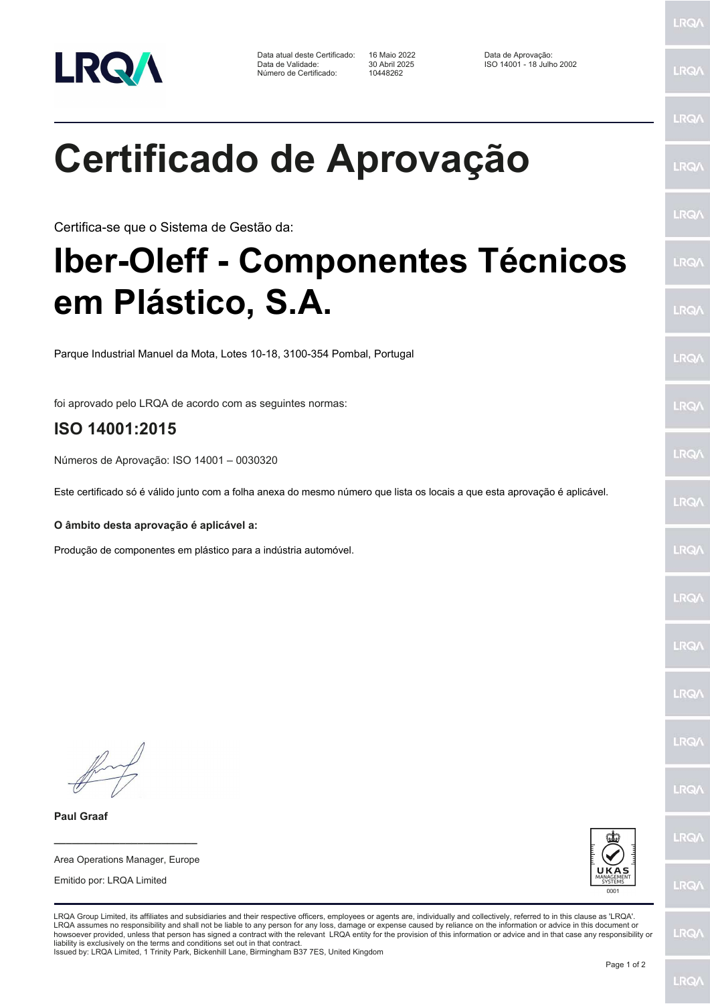

Data atual deste Certificado: 16 Maio 2022<br>Data de Validade: 30 Abril 2025 Número de Certificado:

16 Maio 2022 **ISO ENGLE DE LA CONCESSE DE LA CONCESSE DE LA 2002**<br>10448262 **ISO 14001 - 18 Julho 2002** 

LRQ/

LRQ/

LRQ/

LRQ/

LRQ/

LRQ/

LRQ/

LRQ/

**LRQA** 

LRQ/

LRQ/

LRQ/

LRQ/

**LRQA** 

 $RQ$ 

**LROA** 

LRQ/

LRQ/

**LRQA** 

LRQ/

# **Certificado de Aprovação**

Certifica-se que o Sistema de Gestão da:

## **Iber-Oleff - Componentes Técnicos em Plástico, S.A.**

Parque Industrial Manuel da Mota, Lotes 10-18, 3100-354 Pombal, Portugal

foi aprovado pelo LRQA de acordo com as seguintes normas:

### **ISO 14001:2015**

Números de Aprovação: ISO 14001 – 0030320

Este certificado só é válido junto com a folha anexa do mesmo número que lista os locais a que esta aprovação é aplicável.

**O âmbito desta aprovação é aplicável a:**

Produção de componentes em plástico para a indústria automóvel.

**\_\_\_\_\_\_\_\_\_\_\_\_\_\_\_\_\_\_\_\_\_\_\_\_** Area Operations Manager, Europe

Emitido por: LRQA Limited

**Paul Graaf**



LRQA Group Limited, its affiliates and subsidiaries and their respective officers, employees or agents are, individually and collectively, referred to in this clause as 'LRQA'. LRQA assumes no responsibility and shall not be liable to any person for any loss, damage or expense caused by reliance on the information or advice in this document or<br>howsoever provided, unless that person has signed a c liability is exclusively on the terms and conditions set out in that contract.

Issued by: LRQA Limited, 1 Trinity Park, Bickenhill Lane, Birmingham B37 7ES, United Kingdom